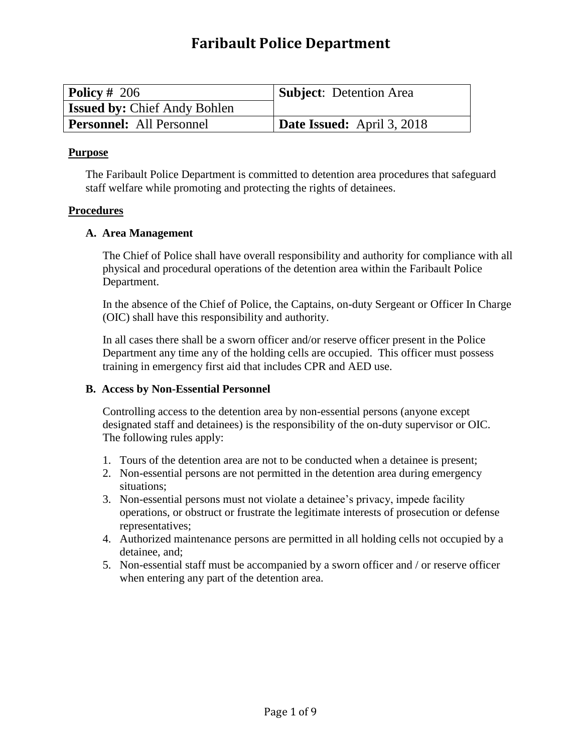# **Faribault Police Department**

| Policy # 206                        | <b>Subject:</b> Detention Area |
|-------------------------------------|--------------------------------|
| <b>Issued by: Chief Andy Bohlen</b> |                                |
| <b>Personnel:</b> All Personnel     | Date Issued: April 3, 2018     |

### **Purpose**

The Faribault Police Department is committed to detention area procedures that safeguard staff welfare while promoting and protecting the rights of detainees.

## **Procedures**

## **A. Area Management**

The Chief of Police shall have overall responsibility and authority for compliance with all physical and procedural operations of the detention area within the Faribault Police Department.

In the absence of the Chief of Police, the Captains, on-duty Sergeant or Officer In Charge (OIC) shall have this responsibility and authority.

In all cases there shall be a sworn officer and/or reserve officer present in the Police Department any time any of the holding cells are occupied. This officer must possess training in emergency first aid that includes CPR and AED use.

### **B. Access by Non-Essential Personnel**

Controlling access to the detention area by non-essential persons (anyone except designated staff and detainees) is the responsibility of the on-duty supervisor or OIC. The following rules apply:

- 1. Tours of the detention area are not to be conducted when a detainee is present;
- 2. Non-essential persons are not permitted in the detention area during emergency situations;
- 3. Non-essential persons must not violate a detainee's privacy, impede facility operations, or obstruct or frustrate the legitimate interests of prosecution or defense representatives;
- 4. Authorized maintenance persons are permitted in all holding cells not occupied by a detainee, and;
- 5. Non-essential staff must be accompanied by a sworn officer and / or reserve officer when entering any part of the detention area.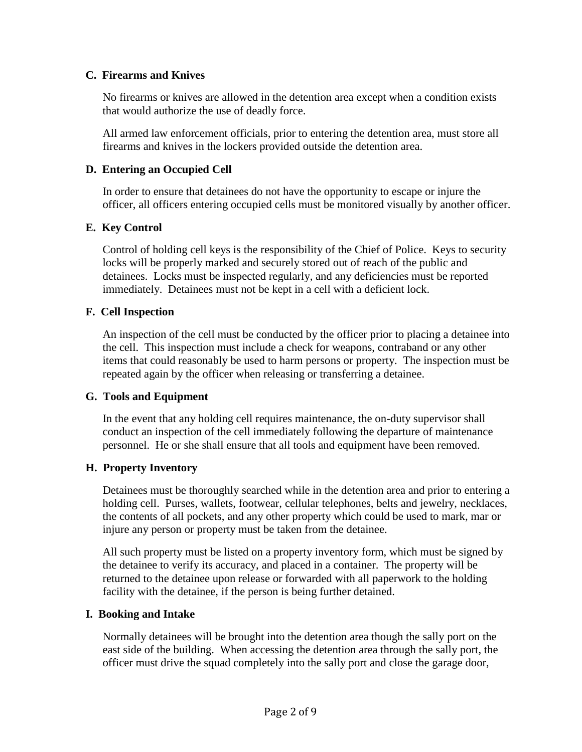# **C. Firearms and Knives**

No firearms or knives are allowed in the detention area except when a condition exists that would authorize the use of deadly force.

All armed law enforcement officials, prior to entering the detention area, must store all firearms and knives in the lockers provided outside the detention area.

## **D. Entering an Occupied Cell**

In order to ensure that detainees do not have the opportunity to escape or injure the officer, all officers entering occupied cells must be monitored visually by another officer.

## **E. Key Control**

Control of holding cell keys is the responsibility of the Chief of Police. Keys to security locks will be properly marked and securely stored out of reach of the public and detainees. Locks must be inspected regularly, and any deficiencies must be reported immediately. Detainees must not be kept in a cell with a deficient lock.

## **F. Cell Inspection**

An inspection of the cell must be conducted by the officer prior to placing a detainee into the cell. This inspection must include a check for weapons, contraband or any other items that could reasonably be used to harm persons or property. The inspection must be repeated again by the officer when releasing or transferring a detainee.

# **G. Tools and Equipment**

In the event that any holding cell requires maintenance, the on-duty supervisor shall conduct an inspection of the cell immediately following the departure of maintenance personnel. He or she shall ensure that all tools and equipment have been removed.

### **H. Property Inventory**

Detainees must be thoroughly searched while in the detention area and prior to entering a holding cell. Purses, wallets, footwear, cellular telephones, belts and jewelry, necklaces, the contents of all pockets, and any other property which could be used to mark, mar or injure any person or property must be taken from the detainee.

All such property must be listed on a property inventory form, which must be signed by the detainee to verify its accuracy, and placed in a container. The property will be returned to the detainee upon release or forwarded with all paperwork to the holding facility with the detainee, if the person is being further detained.

### **I. Booking and Intake**

Normally detainees will be brought into the detention area though the sally port on the east side of the building. When accessing the detention area through the sally port, the officer must drive the squad completely into the sally port and close the garage door,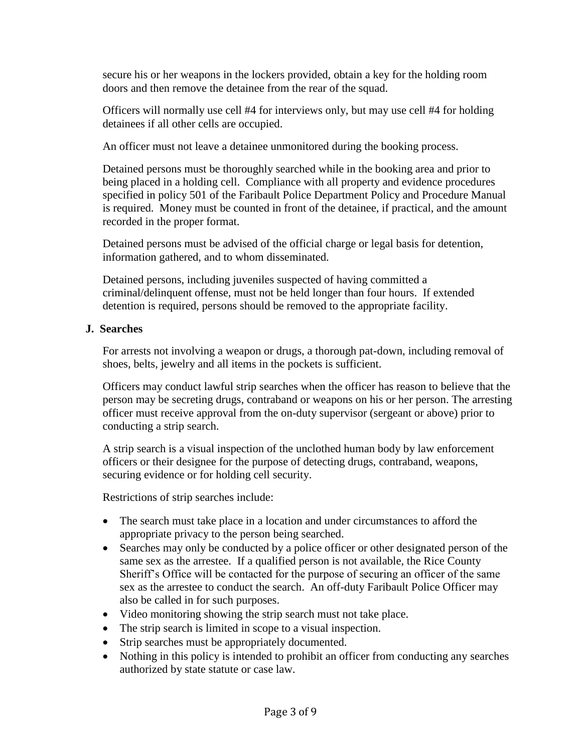secure his or her weapons in the lockers provided, obtain a key for the holding room doors and then remove the detainee from the rear of the squad.

Officers will normally use cell #4 for interviews only, but may use cell #4 for holding detainees if all other cells are occupied.

An officer must not leave a detainee unmonitored during the booking process.

Detained persons must be thoroughly searched while in the booking area and prior to being placed in a holding cell. Compliance with all property and evidence procedures specified in policy 501 of the Faribault Police Department Policy and Procedure Manual is required. Money must be counted in front of the detainee, if practical, and the amount recorded in the proper format.

Detained persons must be advised of the official charge or legal basis for detention, information gathered, and to whom disseminated.

Detained persons, including juveniles suspected of having committed a criminal/delinquent offense, must not be held longer than four hours. If extended detention is required, persons should be removed to the appropriate facility.

## **J. Searches**

For arrests not involving a weapon or drugs, a thorough pat-down, including removal of shoes, belts, jewelry and all items in the pockets is sufficient.

Officers may conduct lawful strip searches when the officer has reason to believe that the person may be secreting drugs, contraband or weapons on his or her person. The arresting officer must receive approval from the on-duty supervisor (sergeant or above) prior to conducting a strip search.

A strip search is a visual inspection of the unclothed human body by law enforcement officers or their designee for the purpose of detecting drugs, contraband, weapons, securing evidence or for holding cell security.

Restrictions of strip searches include:

- The search must take place in a location and under circumstances to afford the appropriate privacy to the person being searched.
- Searches may only be conducted by a police officer or other designated person of the same sex as the arrestee. If a qualified person is not available, the Rice County Sheriff's Office will be contacted for the purpose of securing an officer of the same sex as the arrestee to conduct the search. An off-duty Faribault Police Officer may also be called in for such purposes.
- Video monitoring showing the strip search must not take place.
- The strip search is limited in scope to a visual inspection.
- Strip searches must be appropriately documented.
- Nothing in this policy is intended to prohibit an officer from conducting any searches authorized by state statute or case law.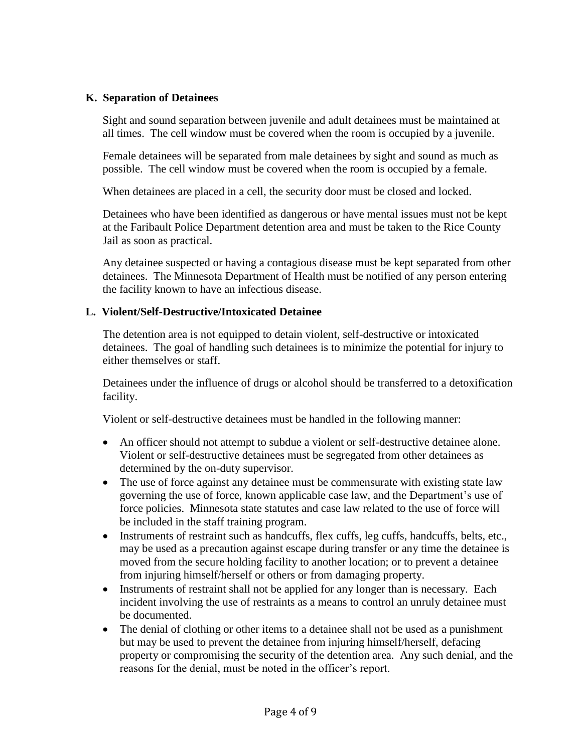# **K. Separation of Detainees**

Sight and sound separation between juvenile and adult detainees must be maintained at all times. The cell window must be covered when the room is occupied by a juvenile.

Female detainees will be separated from male detainees by sight and sound as much as possible. The cell window must be covered when the room is occupied by a female.

When detainees are placed in a cell, the security door must be closed and locked.

Detainees who have been identified as dangerous or have mental issues must not be kept at the Faribault Police Department detention area and must be taken to the Rice County Jail as soon as practical.

Any detainee suspected or having a contagious disease must be kept separated from other detainees. The Minnesota Department of Health must be notified of any person entering the facility known to have an infectious disease.

## **L. Violent/Self-Destructive/Intoxicated Detainee**

The detention area is not equipped to detain violent, self-destructive or intoxicated detainees. The goal of handling such detainees is to minimize the potential for injury to either themselves or staff.

Detainees under the influence of drugs or alcohol should be transferred to a detoxification facility.

Violent or self-destructive detainees must be handled in the following manner:

- An officer should not attempt to subdue a violent or self-destructive detainee alone. Violent or self-destructive detainees must be segregated from other detainees as determined by the on-duty supervisor.
- The use of force against any detainee must be commensurate with existing state law governing the use of force, known applicable case law, and the Department's use of force policies. Minnesota state statutes and case law related to the use of force will be included in the staff training program.
- Instruments of restraint such as handcuffs, flex cuffs, leg cuffs, handcuffs, belts, etc., may be used as a precaution against escape during transfer or any time the detainee is moved from the secure holding facility to another location; or to prevent a detainee from injuring himself/herself or others or from damaging property.
- Instruments of restraint shall not be applied for any longer than is necessary. Each incident involving the use of restraints as a means to control an unruly detainee must be documented.
- The denial of clothing or other items to a detainee shall not be used as a punishment but may be used to prevent the detainee from injuring himself/herself, defacing property or compromising the security of the detention area. Any such denial, and the reasons for the denial, must be noted in the officer's report.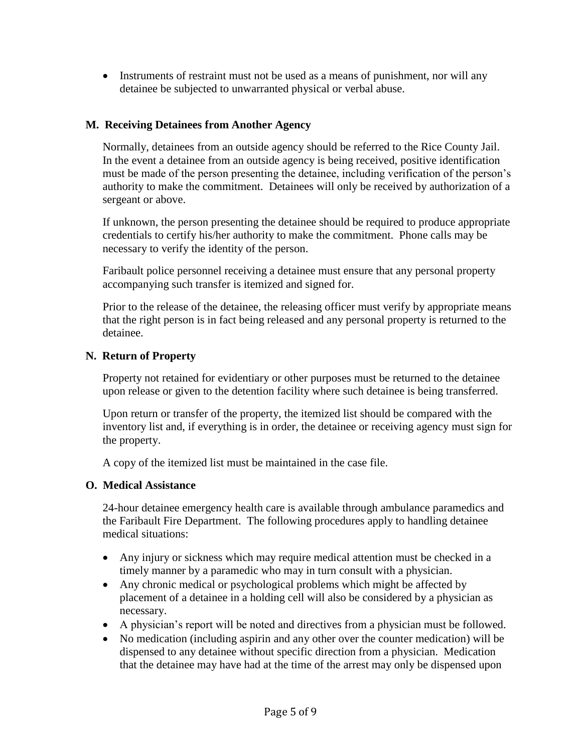• Instruments of restraint must not be used as a means of punishment, nor will any detainee be subjected to unwarranted physical or verbal abuse.

# **M. Receiving Detainees from Another Agency**

Normally, detainees from an outside agency should be referred to the Rice County Jail. In the event a detainee from an outside agency is being received, positive identification must be made of the person presenting the detainee, including verification of the person's authority to make the commitment. Detainees will only be received by authorization of a sergeant or above.

If unknown, the person presenting the detainee should be required to produce appropriate credentials to certify his/her authority to make the commitment. Phone calls may be necessary to verify the identity of the person.

Faribault police personnel receiving a detainee must ensure that any personal property accompanying such transfer is itemized and signed for.

Prior to the release of the detainee, the releasing officer must verify by appropriate means that the right person is in fact being released and any personal property is returned to the detainee.

### **N. Return of Property**

Property not retained for evidentiary or other purposes must be returned to the detainee upon release or given to the detention facility where such detainee is being transferred.

Upon return or transfer of the property, the itemized list should be compared with the inventory list and, if everything is in order, the detainee or receiving agency must sign for the property.

A copy of the itemized list must be maintained in the case file.

## **O. Medical Assistance**

24-hour detainee emergency health care is available through ambulance paramedics and the Faribault Fire Department. The following procedures apply to handling detainee medical situations:

- Any injury or sickness which may require medical attention must be checked in a timely manner by a paramedic who may in turn consult with a physician.
- Any chronic medical or psychological problems which might be affected by placement of a detainee in a holding cell will also be considered by a physician as necessary.
- A physician's report will be noted and directives from a physician must be followed.
- No medication (including aspirin and any other over the counter medication) will be dispensed to any detainee without specific direction from a physician. Medication that the detainee may have had at the time of the arrest may only be dispensed upon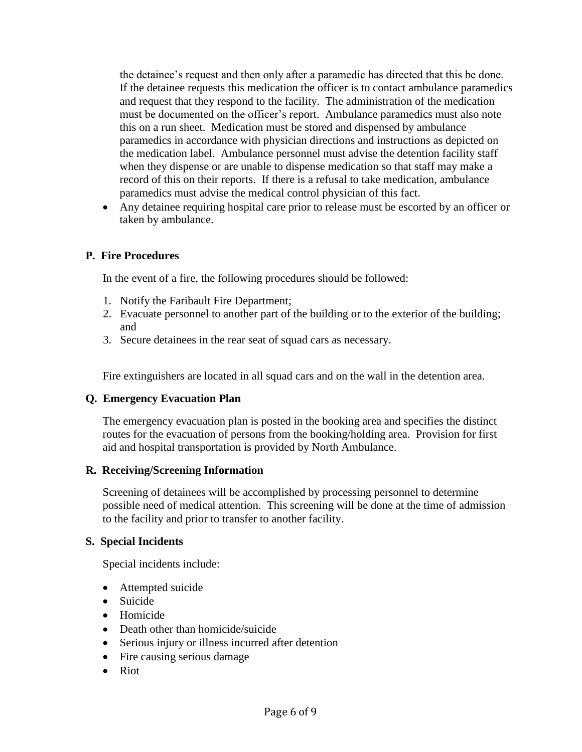the detainee's request and then only after a paramedic has directed that this be done. If the detainee requests this medication the officer is to contact ambulance paramedics and request that they respond to the facility. The administration of the medication must be documented on the officer's report. Ambulance paramedics must also note this on a run sheet. Medication must be stored and dispensed by ambulance paramedics in accordance with physician directions and instructions as depicted on the medication label. Ambulance personnel must advise the detention facility staff when they dispense or are unable to dispense medication so that staff may make a record of this on their reports. If there is a refusal to take medication, ambulance paramedics must advise the medical control physician of this fact.

 Any detainee requiring hospital care prior to release must be escorted by an officer or taken by ambulance.

# **P. Fire Procedures**

In the event of a fire, the following procedures should be followed:

- 1. Notify the Faribault Fire Department;
- 2. Evacuate personnel to another part of the building or to the exterior of the building; and
- 3. Secure detainees in the rear seat of squad cars as necessary.

Fire extinguishers are located in all squad cars and on the wall in the detention area.

# **Q. Emergency Evacuation Plan**

The emergency evacuation plan is posted in the booking area and specifies the distinct routes for the evacuation of persons from the booking/holding area. Provision for first aid and hospital transportation is provided by North Ambulance.

### **R. Receiving/Screening Information**

Screening of detainees will be accomplished by processing personnel to determine possible need of medical attention. This screening will be done at the time of admission to the facility and prior to transfer to another facility.

### **S. Special Incidents**

Special incidents include:

- Attempted suicide
- Suicide
- Homicide
- Death other than homicide/suicide
- Serious injury or illness incurred after detention
- Fire causing serious damage
- Riot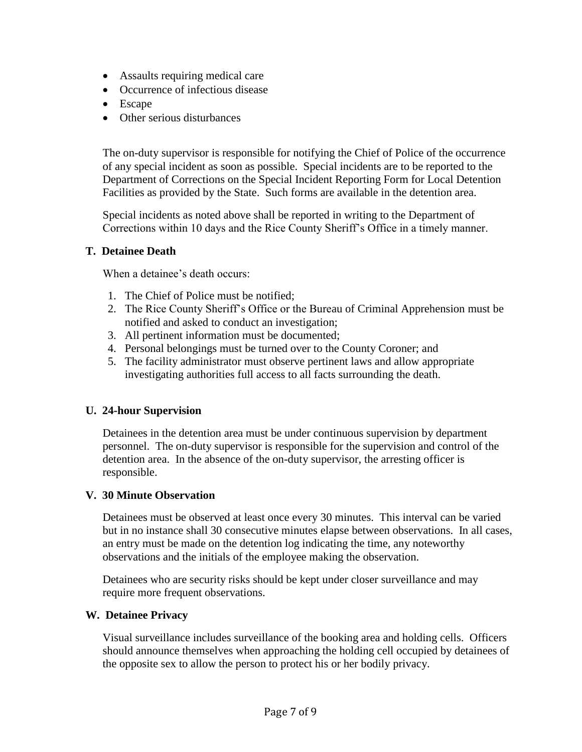- Assaults requiring medical care
- Occurrence of infectious disease
- Escape
- Other serious disturbances

The on-duty supervisor is responsible for notifying the Chief of Police of the occurrence of any special incident as soon as possible. Special incidents are to be reported to the Department of Corrections on the Special Incident Reporting Form for Local Detention Facilities as provided by the State. Such forms are available in the detention area.

Special incidents as noted above shall be reported in writing to the Department of Corrections within 10 days and the Rice County Sheriff's Office in a timely manner.

# **T. Detainee Death**

When a detainee's death occurs:

- 1. The Chief of Police must be notified;
- 2. The Rice County Sheriff's Office or the Bureau of Criminal Apprehension must be notified and asked to conduct an investigation;
- 3. All pertinent information must be documented;
- 4. Personal belongings must be turned over to the County Coroner; and
- 5. The facility administrator must observe pertinent laws and allow appropriate investigating authorities full access to all facts surrounding the death.

# **U. 24-hour Supervision**

Detainees in the detention area must be under continuous supervision by department personnel. The on-duty supervisor is responsible for the supervision and control of the detention area. In the absence of the on-duty supervisor, the arresting officer is responsible.

### **V. 30 Minute Observation**

Detainees must be observed at least once every 30 minutes. This interval can be varied but in no instance shall 30 consecutive minutes elapse between observations. In all cases, an entry must be made on the detention log indicating the time, any noteworthy observations and the initials of the employee making the observation.

Detainees who are security risks should be kept under closer surveillance and may require more frequent observations.

### **W. Detainee Privacy**

Visual surveillance includes surveillance of the booking area and holding cells. Officers should announce themselves when approaching the holding cell occupied by detainees of the opposite sex to allow the person to protect his or her bodily privacy.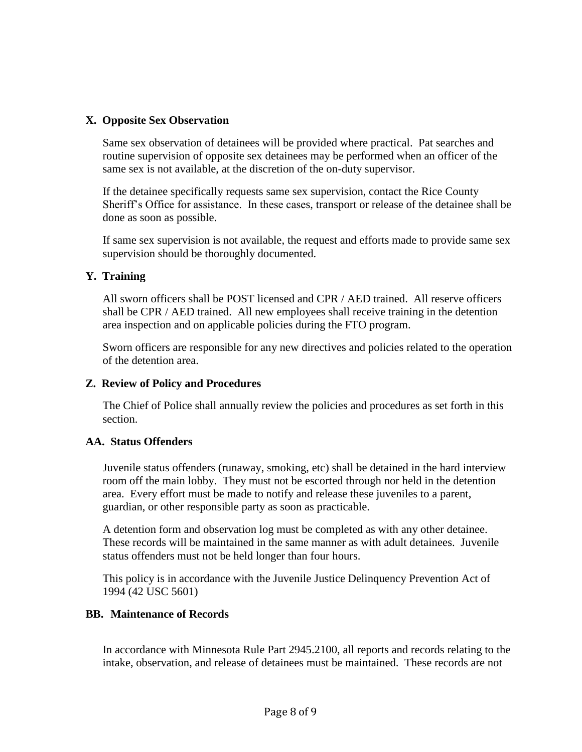# **X. Opposite Sex Observation**

Same sex observation of detainees will be provided where practical. Pat searches and routine supervision of opposite sex detainees may be performed when an officer of the same sex is not available, at the discretion of the on-duty supervisor.

If the detainee specifically requests same sex supervision, contact the Rice County Sheriff's Office for assistance. In these cases, transport or release of the detainee shall be done as soon as possible.

If same sex supervision is not available, the request and efforts made to provide same sex supervision should be thoroughly documented.

## **Y. Training**

All sworn officers shall be POST licensed and CPR / AED trained. All reserve officers shall be CPR / AED trained. All new employees shall receive training in the detention area inspection and on applicable policies during the FTO program.

Sworn officers are responsible for any new directives and policies related to the operation of the detention area.

# **Z. Review of Policy and Procedures**

The Chief of Police shall annually review the policies and procedures as set forth in this section.

### **AA. Status Offenders**

Juvenile status offenders (runaway, smoking, etc) shall be detained in the hard interview room off the main lobby. They must not be escorted through nor held in the detention area. Every effort must be made to notify and release these juveniles to a parent, guardian, or other responsible party as soon as practicable.

A detention form and observation log must be completed as with any other detainee. These records will be maintained in the same manner as with adult detainees. Juvenile status offenders must not be held longer than four hours.

This policy is in accordance with the Juvenile Justice Delinquency Prevention Act of 1994 (42 USC 5601)

### **BB. Maintenance of Records**

In accordance with Minnesota Rule Part 2945.2100, all reports and records relating to the intake, observation, and release of detainees must be maintained. These records are not